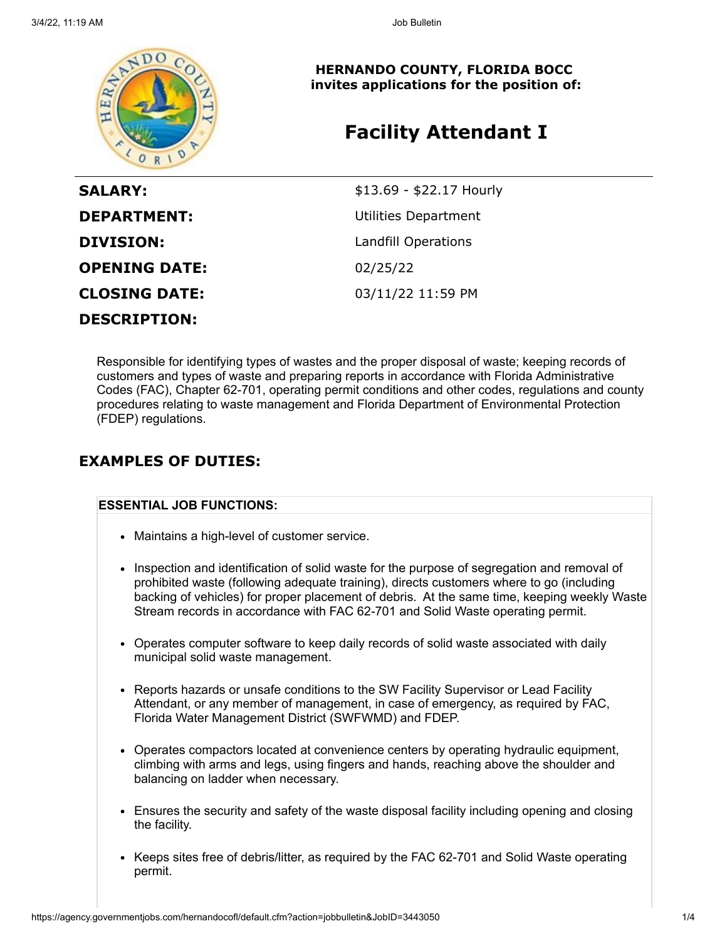

**HERNANDO COUNTY, FLORIDA BOCC invites applications for the position of:**

# **Facility Attendant I**

| <b>SALARY:</b>       | \$13.69 - \$22.17 Hourly |
|----------------------|--------------------------|
| <b>DEPARTMENT:</b>   | Utilities Department     |
| <b>DIVISION:</b>     | Landfill Operations      |
| <b>OPENING DATE:</b> | 02/25/22                 |
| <b>CLOSING DATE:</b> | 03/11/22 11:59 PM        |
| <b>DESCRIPTION:</b>  |                          |

Responsible for identifying types of wastes and the proper disposal of waste; keeping records of customers and types of waste and preparing reports in accordance with Florida Administrative Codes (FAC), Chapter 62-701, operating permit conditions and other codes, regulations and county procedures relating to waste management and Florida Department of Environmental Protection (FDEP) regulations.

### **EXAMPLES OF DUTIES:**

### **ESSENTIAL JOB FUNCTIONS:**

- Maintains a high-level of customer service.
- Inspection and identification of solid waste for the purpose of segregation and removal of prohibited waste (following adequate training), directs customers where to go (including backing of vehicles) for proper placement of debris. At the same time, keeping weekly Waste Stream records in accordance with FAC 62-701 and Solid Waste operating permit.
- Operates computer software to keep daily records of solid waste associated with daily municipal solid waste management.
- Reports hazards or unsafe conditions to the SW Facility Supervisor or Lead Facility Attendant, or any member of management, in case of emergency, as required by FAC, Florida Water Management District (SWFWMD) and FDEP.
- Operates compactors located at convenience centers by operating hydraulic equipment, climbing with arms and legs, using fingers and hands, reaching above the shoulder and balancing on ladder when necessary.
- Ensures the security and safety of the waste disposal facility including opening and closing the facility.
- Keeps sites free of debris/litter, as required by the FAC 62-701 and Solid Waste operating permit.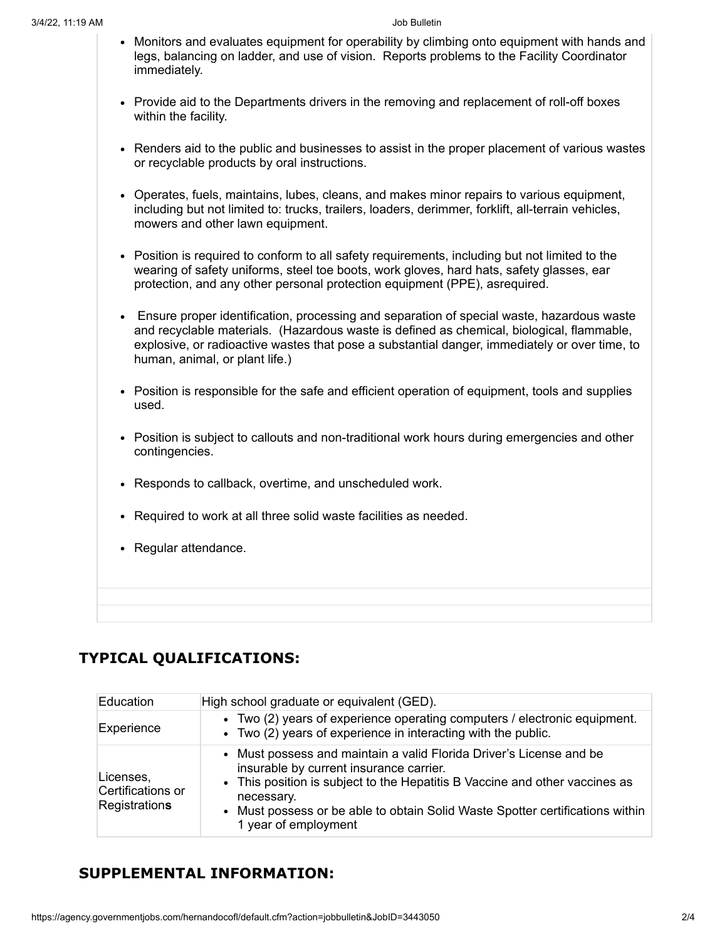- Monitors and evaluates equipment for operability by climbing onto equipment with hands and legs, balancing on ladder, and use of vision. Reports problems to the Facility Coordinator immediately.
- Provide aid to the Departments drivers in the removing and replacement of roll-off boxes within the facility.
- Renders aid to the public and businesses to assist in the proper placement of various wastes or recyclable products by oral instructions.
- Operates, fuels, maintains, lubes, cleans, and makes minor repairs to various equipment, including but not limited to: trucks, trailers, loaders, derimmer, forklift, all-terrain vehicles, mowers and other lawn equipment.
- Position is required to conform to all safety requirements, including but not limited to the wearing of safety uniforms, steel toe boots, work gloves, hard hats, safety glasses, ear protection, and any other personal protection equipment (PPE), asrequired.
- Ensure proper identification, processing and separation of special waste, hazardous waste and recyclable materials. (Hazardous waste is defined as chemical, biological, flammable, explosive, or radioactive wastes that pose a substantial danger, immediately or over time, to human, animal, or plant life.)
- Position is responsible for the safe and efficient operation of equipment, tools and supplies used.
- Position is subject to callouts and non-traditional work hours during emergencies and other contingencies.
- Responds to callback, overtime, and unscheduled work.
- Required to work at all three solid waste facilities as needed.
- Regular attendance.

# **TYPICAL QUALIFICATIONS:**

| Education                                       | High school graduate or equivalent (GED).                                                                                                                                                                                                                                                                            |
|-------------------------------------------------|----------------------------------------------------------------------------------------------------------------------------------------------------------------------------------------------------------------------------------------------------------------------------------------------------------------------|
| Experience                                      | • Two (2) years of experience operating computers / electronic equipment.<br>• Two (2) years of experience in interacting with the public.                                                                                                                                                                           |
| Licenses,<br>Certifications or<br>Registrations | • Must possess and maintain a valid Florida Driver's License and be<br>insurable by current insurance carrier.<br>• This position is subject to the Hepatitis B Vaccine and other vaccines as<br>necessary.<br>• Must possess or be able to obtain Solid Waste Spotter certifications within<br>1 year of employment |

# **SUPPLEMENTAL INFORMATION:**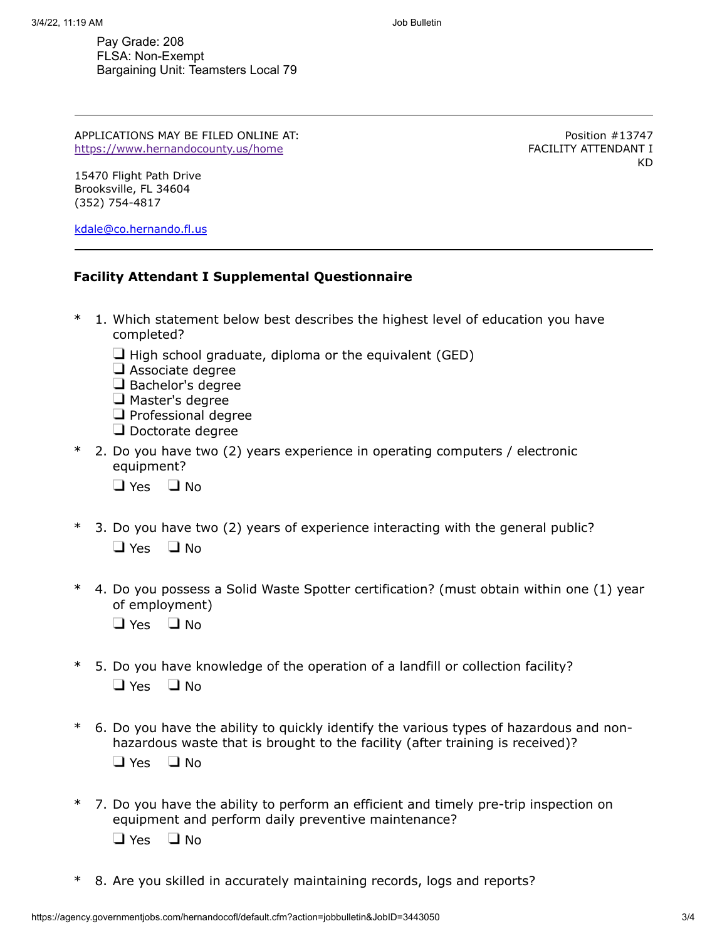Pay Grade: 208 FLSA: Non-Exempt Bargaining Unit: Teamsters Local 79

APPLICATIONS MAY BE FILED ONLINE AT: <https://www.hernandocounty.us/home>

Position #13747 FACILITY ATTENDANT I KD

15470 Flight Path Drive Brooksville, FL 34604 (352) 754-4817

[kdale@co.hernando.fl.us](mailto:kdale@co.hernando.fl.us)

### **Facility Attendant I Supplemental Questionnaire**

- \* 1. Which statement below best describes the highest level of education you have completed?
	- $\Box$  High school graduate, diploma or the equivalent (GED)
	- $\Box$  Associate degree
	- Bachelor's degree
	- $\Box$  Master's degree
	- $\Box$  Professional degree
	- $\Box$  Doctorate degree
- \* 2. Do you have two (2) years experience in operating computers / electronic equipment?
	- $\Box$  Yes  $\Box$  No
- \* 3. Do you have two (2) years of experience interacting with the general public?  $\Box$  Yes  $\Box$  No
- \* 4. Do you possess a Solid Waste Spotter certification? (must obtain within one (1) year of employment)
	- $\Box$  Yes  $\Box$  No.
- \* 5. Do you have knowledge of the operation of a landfill or collection facility?  $\Box$  Yes  $\Box$  No
- \* 6. Do you have the ability to quickly identify the various types of hazardous and nonhazardous waste that is brought to the facility (after training is received)?  $\Box$  Yes  $\Box$  No
- \* 7. Do you have the ability to perform an efficient and timely pre-trip inspection on equipment and perform daily preventive maintenance?  $\Box$  Yes  $\Box$  No
- \* 8. Are you skilled in accurately maintaining records, logs and reports?